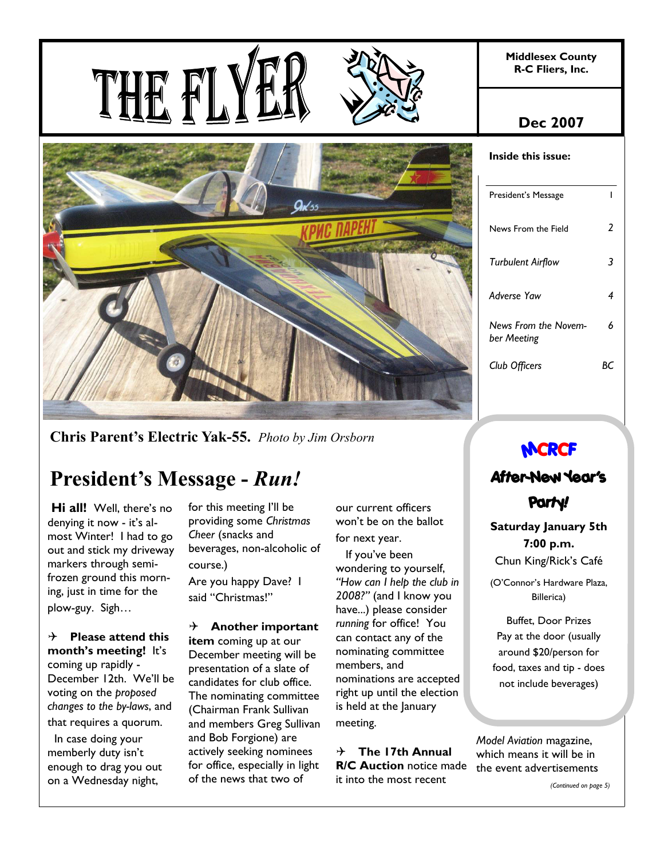**Middlesex County R-C Fliers, Inc.** 

# THE F





**Chris Parent's Electric Yak-55.** *Photo by Jim Orsborn*

# **President's Message -** *Run!*

 **Hi all!** Well, there's no denying it now - it's almost Winter! I had to go out and stick my driveway markers through semifrozen ground this morning, just in time for the plow-guy. Sigh…

4 **Please attend this month's meeting!** It's coming up rapidly - December 12th. We'll be voting on the *proposed changes to the by-laws*, and that requires a quorum.

 In case doing your memberly duty isn't enough to drag you out on a Wednesday night,

for this meeting I'll be providing some *Christmas Cheer* (snacks and beverages, non-alcoholic of course.) Are you happy Dave? I said "Christmas!"

## 4 **Another important**

**item** coming up at our December meeting will be presentation of a slate of candidates for club office. The nominating committee (Chairman Frank Sullivan and members Greg Sullivan and Bob Forgione) are actively seeking nominees for office, especially in light of the news that two of

our current officers won't be on the ballot for next year.

 If you've been wondering to yourself, *"How can I help the club in 2008?"* (and I know you have...) please consider *running* for office! You can contact any of the nominating committee members, and nominations are accepted right up until the election is held at the January meeting.

4 **The 17th Annual R/C Auction** notice made it into the most recent

# **Dec 2007**

| Inside this issue:                  |    |
|-------------------------------------|----|
| President's Message                 | ı  |
| News From the Field                 | 2  |
| <b>Turbulent Airflow</b>            | 3  |
| Adverse Yaw                         | 4  |
| News From the Novem-<br>ber Meeting | 6  |
| Club Officers                       | ĸс |

# **MCRCF**

# **After-New Year's Party!**

**Saturday January 5th 7:00 p.m.** Chun King/Rick's Café

(O'Connor's Hardware Plaza, Billerica)

Buffet, Door Prizes Pay at the door (usually around \$20/person for food, taxes and tip - does not include beverages)

*Model Aviation* magazine, which means it will be in the event advertisements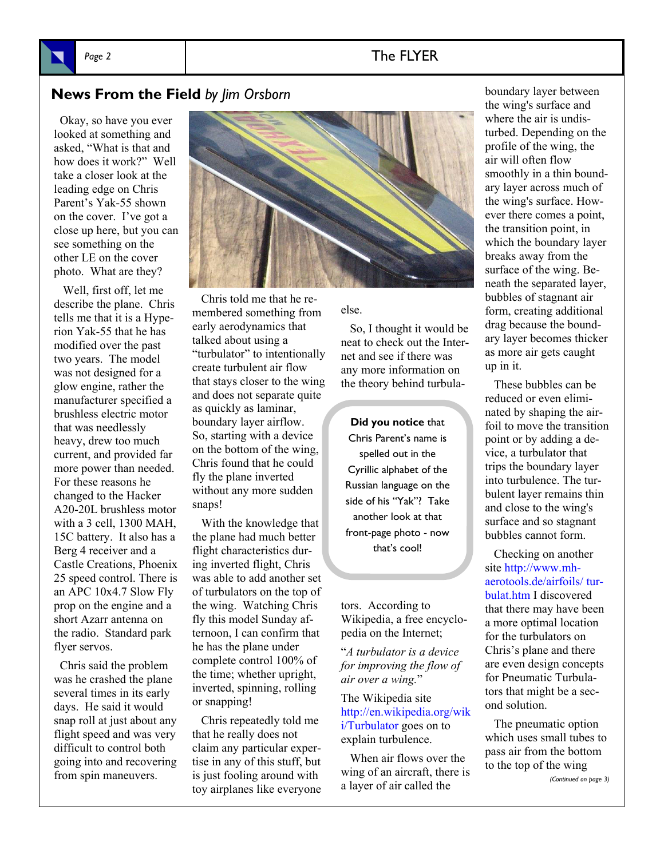#### Page 2 and 2 and 2 and 2 and 2 and 2 and 2 and 2 and 2 and 2 and 2 and 2 and 2 and 2 and 2 and 2 and 2 and 2 and 2 and 2 and 2 and 2 and 2 and 2 and 2 and 2 and 2 and 2 and 2 and 2 and 2 and 2 and 2 and 2 and 2 and 2 and 2

#### **News From the Field** *by Jim Orsborn*

 Okay, so have you ever looked at something and asked, "What is that and how does it work?" Well take a closer look at the leading edge on Chris Parent's Yak-55 shown on the cover. I've got a close up here, but you can see something on the other LE on the cover photo. What are they?

 Well, first off, let me describe the plane. Chris tells me that it is a Hyperion Yak-55 that he has modified over the past two years. The model was not designed for a glow engine, rather the manufacturer specified a brushless electric motor that was needlessly heavy, drew too much current, and provided far more power than needed. For these reasons he changed to the Hacker A20-20L brushless motor with a 3 cell, 1300 MAH, 15C battery. It also has a Berg 4 receiver and a Castle Creations, Phoenix 25 speed control. There is an APC 10x4.7 Slow Fly prop on the engine and a short Azarr antenna on the radio. Standard park flyer servos.

 Chris said the problem was he crashed the plane several times in its early days. He said it would snap roll at just about any flight speed and was very difficult to control both going into and recovering from spin maneuvers.



 Chris told me that he remembered something from early aerodynamics that talked about using a "turbulator" to intentionally create turbulent air flow that stays closer to the wing and does not separate quite as quickly as laminar, boundary layer airflow. So, starting with a device on the bottom of the wing, Chris found that he could fly the plane inverted without any more sudden snaps!

 With the knowledge that the plane had much better flight characteristics during inverted flight, Chris was able to add another set of turbulators on the top of the wing. Watching Chris fly this model Sunday afternoon, I can confirm that he has the plane under complete control 100% of the time; whether upright, inverted, spinning, rolling or snapping!

 Chris repeatedly told me that he really does not claim any particular expertise in any of this stuff, but is just fooling around with toy airplanes like everyone

#### else.

 So, I thought it would be neat to check out the Internet and see if there was any more information on the theory behind turbula-

#### **Did you notice** that

Chris Parent's name is spelled out in the Cyrillic alphabet of the Russian language on the side of his "Yak"? Take another look at that front-page photo - now that's cool!

tors. According to Wikipedia, a free encyclopedia on the Internet;

"*A turbulator is a device for improving the flow of air over a wing.*"

The Wikipedia site http://en.wikipedia.org/wik i/Turbulator goes on to explain turbulence.

 When air flows over the wing of an aircraft, there is a layer of air called the

boundary layer between the wing's surface and where the air is undisturbed. Depending on the profile of the wing, the air will often flow smoothly in a thin boundary layer across much of the wing's surface. However there comes a point, the transition point, in which the boundary layer breaks away from the surface of the wing. Beneath the separated layer, bubbles of stagnant air form, creating additional drag because the boundary layer becomes thicker as more air gets caught up in it.

 These bubbles can be reduced or even eliminated by shaping the airfoil to move the transition point or by adding a device, a turbulator that trips the boundary layer into turbulence. The turbulent layer remains thin and close to the wing's surface and so stagnant bubbles cannot form.

 Checking on another site http://www.mhaerotools.de/airfoils/ turbulat.htm I discovered that there may have been a more optimal location for the turbulators on Chris's plane and there are even design concepts for Pneumatic Turbulators that might be a second solution.

 The pneumatic option which uses small tubes to pass air from the bottom to the top of the wing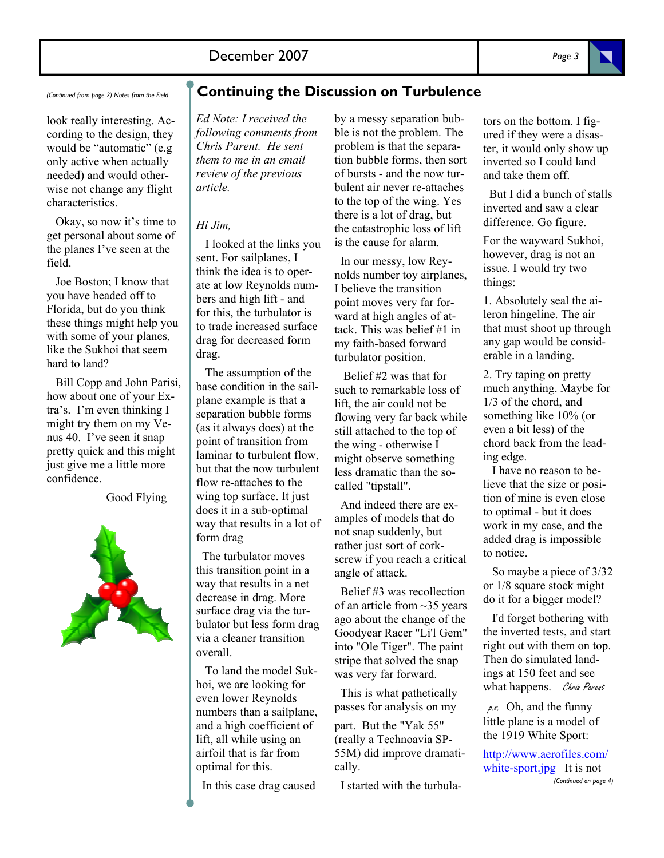*(Continued from page 2) Notes from the Field* 

look really interesting. According to the design, they would be "automatic" (e.g only active when actually needed) and would otherwise not change any flight characteristics.

 Okay, so now it's time to get personal about some of the planes I've seen at the field.

 Joe Boston; I know that you have headed off to Florida, but do you think these things might help you with some of your planes, like the Sukhoi that seem hard to land?

 Bill Copp and John Parisi, how about one of your Extra's. I'm even thinking I might try them on my Venus 40. I've seen it snap pretty quick and this might just give me a little more confidence.

Good Flying



#### **Continuing the Discussion on Turbulence**

*Ed Note: I received the following comments from Chris Parent. He sent them to me in an email review of the previous article.*

#### *Hi Jim,*

 I looked at the links you sent. For sailplanes, I think the idea is to operate at low Reynolds numbers and high lift - and for this, the turbulator is to trade increased surface drag for decreased form drag.

 The assumption of the base condition in the sailplane example is that a separation bubble forms (as it always does) at the point of transition from laminar to turbulent flow but that the now turbulent flow re-attaches to the wing top surface. It just does it in a sub-optimal way that results in a lot of form drag

 The turbulator moves this transition point in a way that results in a net decrease in drag. More surface drag via the turbulator but less form drag via a cleaner transition overall.

 To land the model Sukhoi, we are looking for even lower Reynolds numbers than a sailplane, and a high coefficient of lift, all while using an airfoil that is far from optimal for this.

In this case drag caused

by a messy separation bubble is not the problem. The problem is that the separation bubble forms, then sort of bursts - and the now turbulent air never re-attaches to the top of the wing. Yes there is a lot of drag, but the catastrophic loss of lift is the cause for alarm.

 In our messy, low Reynolds number toy airplanes, I believe the transition point moves very far forward at high angles of attack. This was belief #1 in my faith-based forward turbulator position.

 Belief #2 was that for such to remarkable loss of lift, the air could not be flowing very far back while still attached to the top of the wing - otherwise I might observe something less dramatic than the socalled "tipstall".

 And indeed there are examples of models that do not snap suddenly, but rather just sort of corkscrew if you reach a critical angle of attack.

 Belief #3 was recollection of an article from ~35 years ago about the change of the Goodyear Racer "Li'l Gem" into "Ole Tiger". The paint stripe that solved the snap was very far forward.

 This is what pathetically passes for analysis on my part. But the "Yak 55" (really a Technoavia SP-55M) did improve dramatically.

I started with the turbula-

tors on the bottom. I figured if they were a disaster, it would only show up inverted so I could land and take them off.

 But I did a bunch of stalls inverted and saw a clear difference. Go figure.

For the wayward Sukhoi, however, drag is not an issue. I would try two things:

1. Absolutely seal the aileron hingeline. The air that must shoot up through any gap would be considerable in a landing.

2. Try taping on pretty much anything. Maybe for 1/3 of the chord, and something like 10% (or even a bit less) of the chord back from the leading edge.

 I have no reason to believe that the size or position of mine is even close to optimal - but it does work in my case, and the added drag is impossible to notice.

 So maybe a piece of 3/32 or 1/8 square stock might do it for a bigger model?

 I'd forget bothering with the inverted tests, and start right out with them on top. Then do simulated landings at 150 feet and see what happens. Chris Parent

 $\rho$ . Ch, and the funny little plane is a model of the 1919 White Sport:

http://www.aerofiles.com/ white-sport.jpg It is not *(Continued on page 4)*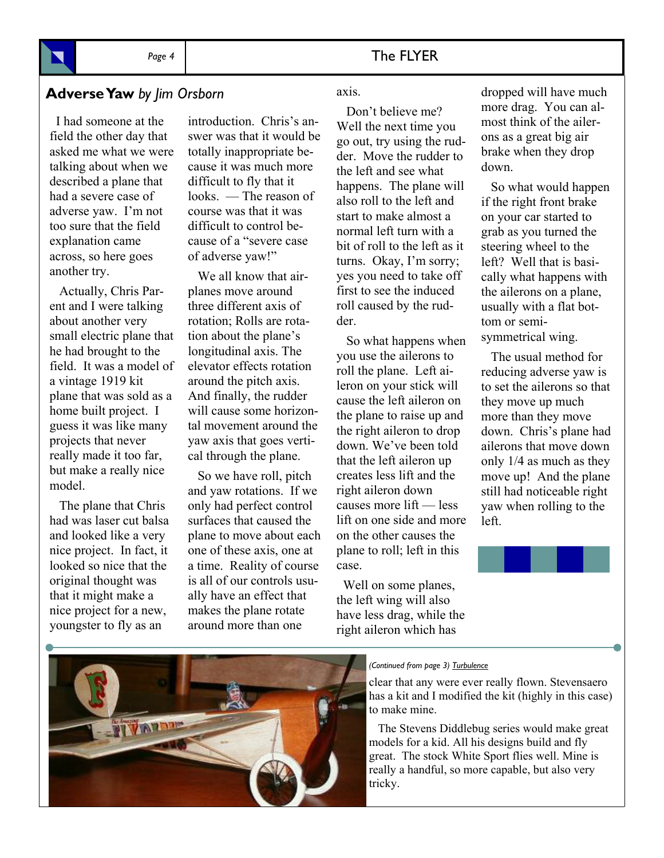#### Page 4 **The FLYER**

## **Adverse Yaw** *by Jim Orsborn*

 I had someone at the field the other day that asked me what we were talking about when we described a plane that had a severe case of adverse yaw. I'm not too sure that the field explanation came across, so here goes another try.

 Actually, Chris Parent and I were talking about another very small electric plane that he had brought to the field. It was a model of a vintage 1919 kit plane that was sold as a home built project. I guess it was like many projects that never really made it too far, but make a really nice model.

 The plane that Chris had was laser cut balsa and looked like a very nice project. In fact, it looked so nice that the original thought was that it might make a nice project for a new, youngster to fly as an

introduction. Chris's answer was that it would be totally inappropriate because it was much more difficult to fly that it looks. — The reason of course was that it was difficult to control because of a "severe case of adverse yaw!"

 We all know that airplanes move around three different axis of rotation; Rolls are rotation about the plane's longitudinal axis. The elevator effects rotation around the pitch axis. And finally, the rudder will cause some horizontal movement around the yaw axis that goes vertical through the plane.

 So we have roll, pitch and yaw rotations. If we only had perfect control surfaces that caused the plane to move about each one of these axis, one at a time. Reality of course is all of our controls usually have an effect that makes the plane rotate around more than one

#### axis.

 Don't believe me? Well the next time you go out, try using the rudder. Move the rudder to the left and see what happens. The plane will also roll to the left and start to make almost a normal left turn with a bit of roll to the left as it turns. Okay, I'm sorry; yes you need to take off first to see the induced roll caused by the rudder.

 So what happens when you use the ailerons to roll the plane. Left aileron on your stick will cause the left aileron on the plane to raise up and the right aileron to drop down. We've been told that the left aileron up creates less lift and the right aileron down causes more lift — less lift on one side and more on the other causes the plane to roll; left in this case.

 Well on some planes, the left wing will also have less drag, while the right aileron which has

dropped will have much more drag. You can almost think of the ailerons as a great big air brake when they drop down.

 So what would happen if the right front brake on your car started to grab as you turned the steering wheel to the left? Well that is basically what happens with the ailerons on a plane, usually with a flat bottom or semisymmetrical wing.

 The usual method for reducing adverse yaw is to set the ailerons so that they move up much more than they move down. Chris's plane had ailerons that move down only 1/4 as much as they move up! And the plane still had noticeable right yaw when rolling to the left.





#### *(Continued from page 3) Turbulence*

clear that any were ever really flown. Stevensaero has a kit and I modified the kit (highly in this case) to make mine.

 The Stevens Diddlebug series would make great models for a kid. All his designs build and fly great. The stock White Sport flies well. Mine is really a handful, so more capable, but also very tricky.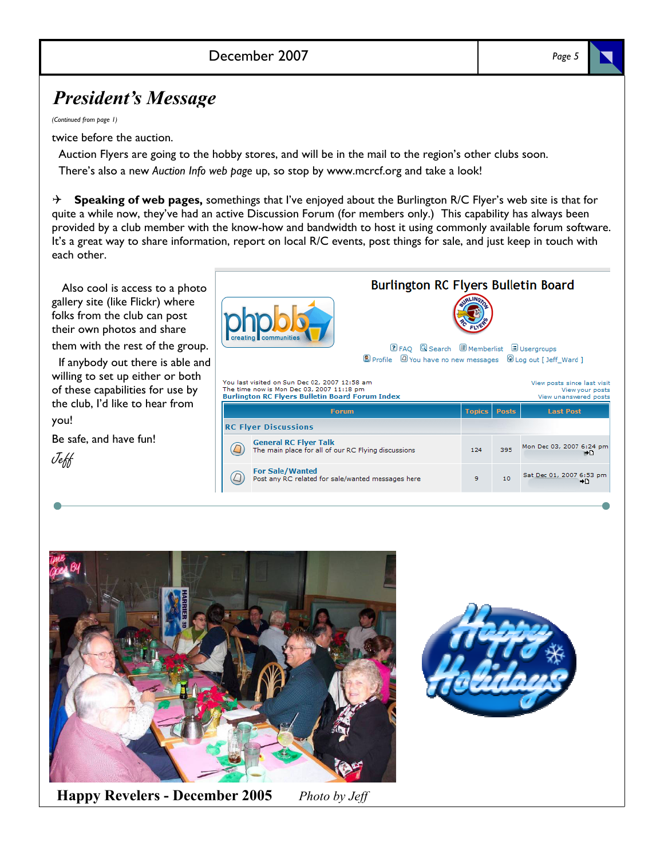#### December 2007 *Page 5*

# *President's Message*

*(Continued from page 1)* 

twice before the auction.

 Auction Flyers are going to the hobby stores, and will be in the mail to the region's other clubs soon. There's also a new *Auction Info web page* up, so stop by www.mcrcf.org and take a look!

4 **Speaking of web pages,** somethings that I've enjoyed about the Burlington R/C Flyer's web site is that for quite a while now, they've had an active Discussion Forum (for members only.) This capability has always been provided by a club member with the know-how and bandwidth to host it using commonly available forum software. It's a great way to share information, report on local R/C events, post things for sale, and just keep in touch with each other.

 Also cool is access to a photo gallery site (like Flickr) where folks from the club can post their own photos and share them with the rest of the group.

If anybody out there is able and willing to set up either or both of these capabilities for use by the club, I'd like to hear from you!

Be safe, and have fun!



| d |                                                                                                    | <b>DFAQ QSearch DMemberlist DUsergroups</b><br><b>8</b> Profile $\Box$ You have no new messages $\Box$ Log out [ Jeff Ward ]<br>You last visited on Sun Dec 02, 2007 12:58 am<br>View posts since last visit<br>The time now is Mon Dec 03, 2007 11:18 pm |               |              |                  |                                |  |  |
|---|----------------------------------------------------------------------------------------------------|-----------------------------------------------------------------------------------------------------------------------------------------------------------------------------------------------------------------------------------------------------------|---------------|--------------|------------------|--------------------------------|--|--|
|   | View your posts<br><b>Burlington RC Flyers Bulletin Board Forum Index</b><br>View unanswered posts |                                                                                                                                                                                                                                                           |               |              |                  |                                |  |  |
|   |                                                                                                    | <b>Forum</b>                                                                                                                                                                                                                                              | <b>Topics</b> | <b>Posts</b> | <b>Last Post</b> |                                |  |  |
|   |                                                                                                    | <b>RC Flyer Discussions</b>                                                                                                                                                                                                                               |               |              |                  |                                |  |  |
|   |                                                                                                    | <b>General RC Flyer Talk</b><br>The main place for all of our RC Flying discussions                                                                                                                                                                       |               | 124          | 395              | Mon Dec 03, 2007 6:24 pm       |  |  |
|   |                                                                                                    | <b>For Sale/Wanted</b><br>Post any RC related for sale/wanted messages here                                                                                                                                                                               |               | 9            | 10               | Sat Dec 01, 2007 6:53 pm<br>⇒n |  |  |

**Burlington RC Flyers Bulletin Board** 



**Happy Revelers - December 2005** *Photo by Jeff* 

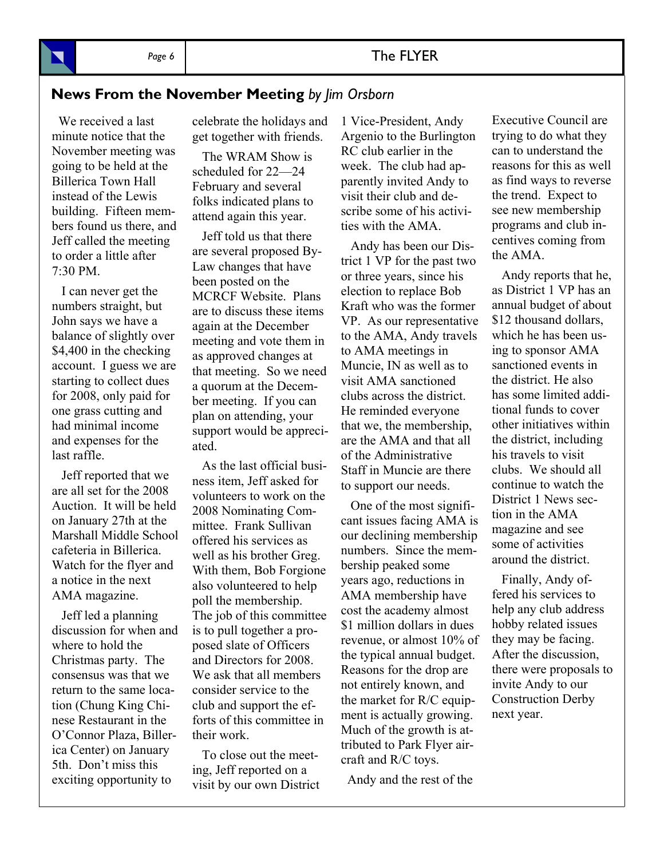#### Page 6 **The FLYER**

#### **News From the November Meeting** *by Jim Orsborn*

 We received a last minute notice that the November meeting was going to be held at the Billerica Town Hall instead of the Lewis building. Fifteen members found us there, and Jeff called the meeting to order a little after 7:30 PM.

 I can never get the numbers straight, but John says we have a balance of slightly over \$4,400 in the checking account. I guess we are starting to collect dues for 2008, only paid for one grass cutting and had minimal income and expenses for the last raffle.

 Jeff reported that we are all set for the 2008 Auction. It will be held on January 27th at the Marshall Middle School cafeteria in Billerica. Watch for the flyer and a notice in the next AMA magazine.

 Jeff led a planning discussion for when and where to hold the Christmas party. The consensus was that we return to the same location (Chung King Chinese Restaurant in the O'Connor Plaza, Billerica Center) on January 5th. Don't miss this exciting opportunity to

celebrate the holidays and get together with friends.

 The WRAM Show is scheduled for 22—24 February and several folks indicated plans to attend again this year.

 Jeff told us that there are several proposed By-Law changes that have been posted on the MCRCF Website. Plans are to discuss these items again at the December meeting and vote them in as approved changes at that meeting. So we need a quorum at the December meeting. If you can plan on attending, your support would be appreciated.

 As the last official business item, Jeff asked for volunteers to work on the 2008 Nominating Committee. Frank Sullivan offered his services as well as his brother Greg. With them, Bob Forgione also volunteered to help poll the membership. The job of this committee is to pull together a proposed slate of Officers and Directors for 2008. We ask that all members consider service to the club and support the efforts of this committee in their work.

 To close out the meeting, Jeff reported on a visit by our own District 1 Vice-President, Andy Argenio to the Burlington RC club earlier in the week. The club had apparently invited Andy to visit their club and describe some of his activities with the AMA.

 Andy has been our District 1 VP for the past two or three years, since his election to replace Bob Kraft who was the former VP. As our representative to the AMA, Andy travels to AMA meetings in Muncie, IN as well as to visit AMA sanctioned clubs across the district. He reminded everyone that we, the membership, are the AMA and that all of the Administrative Staff in Muncie are there to support our needs.

 One of the most significant issues facing AMA is our declining membership numbers. Since the membership peaked some years ago, reductions in AMA membership have cost the academy almost \$1 million dollars in dues revenue, or almost 10% of the typical annual budget. Reasons for the drop are not entirely known, and the market for R/C equipment is actually growing. Much of the growth is attributed to Park Flyer aircraft and R/C toys.

Andy and the rest of the

Executive Council are trying to do what they can to understand the reasons for this as well as find ways to reverse the trend. Expect to see new membership programs and club incentives coming from the AMA.

 Andy reports that he, as District 1 VP has an annual budget of about \$12 thousand dollars, which he has been using to sponsor AMA sanctioned events in the district. He also has some limited additional funds to cover other initiatives within the district, including his travels to visit clubs. We should all continue to watch the District 1 News section in the AMA magazine and see some of activities around the district.

 Finally, Andy offered his services to help any club address hobby related issues they may be facing. After the discussion, there were proposals to invite Andy to our Construction Derby next year.

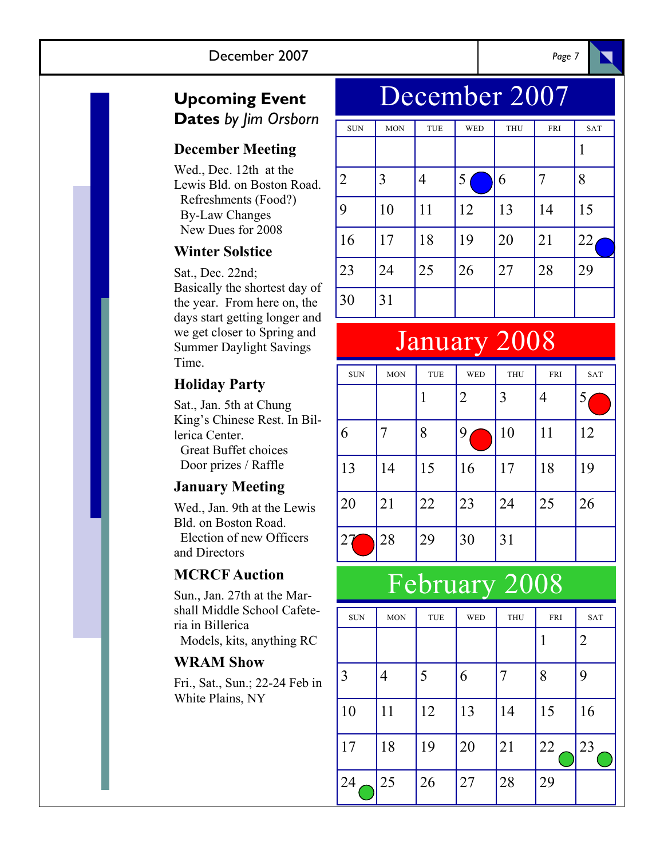## **Upcoming Event Dates** *by Jim Orsborn*

## **December Meeting**

Wed., Dec. 12th at the Lewis Bld. on Boston Road. Refreshments (Food?) By-Law Changes New Dues for 2008

#### **Winter Solstice**

Sat., Dec. 22nd; Basically the shortest day of the year. From here on, the days start getting longer and we get closer to Spring and Summer Daylight Savings Time.

## **Holiday Party**

Sat., Jan. 5th at Chung King's Chinese Rest. In Billerica Center. Great Buffet choices Door prizes / Raffle

## **January Meeting**

Wed., Jan. 9th at the Lewis Bld. on Boston Road. Election of new Officers and Directors

## **MCRCF Auction**

Sun., Jan. 27th at the Marshall Middle School Cafeteria in Billerica

Models, kits, anything RC

#### **WRAM Show**

Fri., Sat., Sun.; 22-24 Feb in White Plains, NY

# December 2007

| <b>SUN</b> | <b>MON</b> | TUE | <b>WED</b> | <b>THU</b> | FRI | <b>SAT</b> |
|------------|------------|-----|------------|------------|-----|------------|
|            |            |     |            |            |     | 1          |
| 2          | 3          | 4   | 5          | 6          |     | 8          |
| 9          | 10         | 11  | 12         | 13         | 14  | 15         |
| 16         | 17         | 18  | 19         | 20         | 21  | 22         |
| 23         | 24         | 25  | 26         | 27         | 28  | 29         |
| 30         | 31         |     |            |            |     |            |

# January 2008

| <b>SUN</b> | <b>MON</b> | TUE | <b>WED</b>     | <b>THU</b> | <b>FRI</b> | <b>SAT</b> |
|------------|------------|-----|----------------|------------|------------|------------|
|            |            |     | $\overline{2}$ | 3          | 4          | 5          |
| 6          | 7          | 8   | 9              | 10         | 11         | 12         |
| 13         | 14         | 15  | 16             | 17         | 18         | 19         |
| 20         | 21         | 22  | 23             | 24         | 25         | 26         |
|            | 28         | 29  | 30             | 31         |            |            |

# February 2008

| <b>SUN</b> | <b>MON</b> | <b>TUE</b> | <b>WED</b> | <b>THU</b> | FRI | SAT |
|------------|------------|------------|------------|------------|-----|-----|
|            |            |            |            |            |     | 2   |
| 3          | 4          | 5          | 6          | 7          | 8   | 9   |
| 10         | 11         | 12         | 13         | 14         | 15  | 16  |
| 17         | 18         | 19         | 20         | 21         | 22  | 23  |
| 24         | 25         | 26         | 27         | 28         | 29  |     |